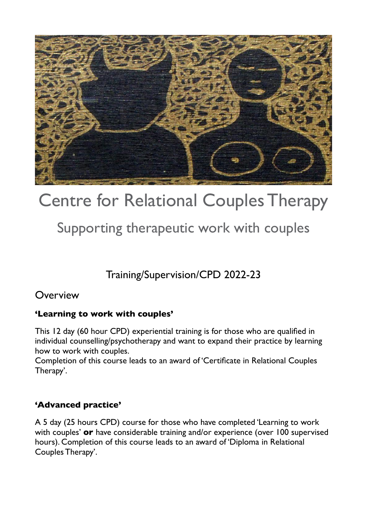

# Centre for Relational Couples Therapy

Supporting therapeutic work with couples

Training/Supervision/CPD 2022-23

## **Overview**

#### **'Learning to work with couples'**

This 12 day (60 hour CPD) experiential training is for those who are qualified in individual counselling/psychotherapy and want to expand their practice by learning how to work with couples.

Completion of this course leads to an award of 'Certificate in Relational Couples Therapy'.

#### **'Advanced practice'**

A 5 day (25 hours CPD) course for those who have completed 'Learning to work with couples' **or** have considerable training and/or experience (over 100 supervised hours). Completion of this course leads to an award of 'Diploma in Relational Couples Therapy'.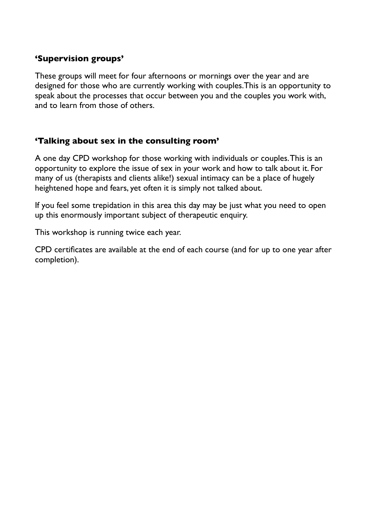#### **'Supervision groups'**

These groups will meet for four afternoons or mornings over the year and are designed for those who are currently working with couples.This is an opportunity to speak about the processes that occur between you and the couples you work with, and to learn from those of others.

#### **'Talking about sex in the consulting room'**

A one day CPD workshop for those working with individuals or couples. This is an opportunity to explore the issue of sex in your work and how to talk about it. For many of us (therapists and clients alike!) sexual intimacy can be a place of hugely heightened hope and fears, yet often it is simply not talked about.

If you feel some trepidation in this area this day may be just what you need to open up this enormously important subject of therapeutic enquiry.

This workshop is running twice each year.

CPD certificates are available at the end of each course (and for up to one year after completion).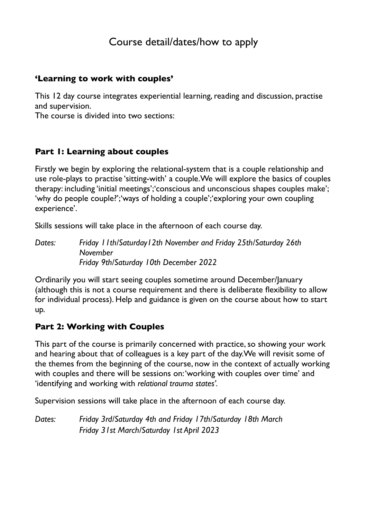# Course detail/dates/how to apply

#### **'Learning to work with couples'**

This 12 day course integrates experiential learning, reading and discussion, practise and supervision.

The course is divided into two sections:

#### **Part 1: Learning about couples**

Firstly we begin by exploring the relational-system that is a couple relationship and use role-plays to practise 'sitting-with' a couple.We will explore the basics of couples therapy: including 'initial meetings';'conscious and unconscious shapes couples make'; 'why do people couple?';'ways of holding a couple';'exploring your own coupling experience'.

Skills sessions will take place in the afternoon of each course day.

*Dates: Friday 11th/Saturday12th November and Friday 25th/Saturday 26th November Friday 9th/Saturday 10th December 2022* 

Ordinarily you will start seeing couples sometime around December/January (although this is not a course requirement and there is deliberate flexibility to allow for individual process). Help and guidance is given on the course about how to start up.

#### **Part 2: Working with Couples**

This part of the course is primarily concerned with practice, so showing your work and hearing about that of colleagues is a key part of the day.We will revisit some of the themes from the beginning of the course, now in the context of actually working with couples and there will be sessions on: 'working with couples over time' and 'identifying and working with *relational trauma states'.* 

Supervision sessions will take place in the afternoon of each course day.

*Dates: Friday 3rd/Saturday 4th and Friday 17th/Saturday 18th March Friday 31st March/Saturday 1st April 2023*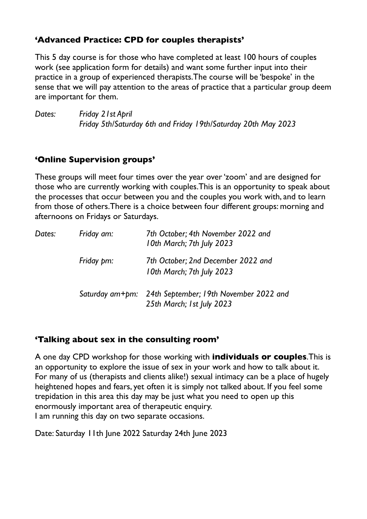#### **'Advanced Practice: CPD for couples therapists'**

This 5 day course is for those who have completed at least 100 hours of couples work (see application form for details) and want some further input into their practice in a group of experienced therapists.The course will be 'bespoke' in the sense that we will pay attention to the areas of practice that a particular group deem are important for them.

*Dates: Friday 21st April Friday 5th/Saturday 6th and Friday 19th/Saturday 20th May 2023* 

## **'Online Supervision groups'**

These groups will meet four times over the year over 'zoom' and are designed for those who are currently working with couples.This is an opportunity to speak about the processes that occur between you and the couples you work with, and to learn from those of others.There is a choice between four different groups: morning and afternoons on Fridays or Saturdays.

| Dates: | Friday am: | 7th October; 4th November 2022 and<br>10th March; 7th July 2023                     |
|--------|------------|-------------------------------------------------------------------------------------|
|        | Friday pm: | 7th October; 2nd December 2022 and<br>10th March; 7th July 2023                     |
|        |            | Saturday am+pm: 24th September; 19th November 2022 and<br>25th March; 1st July 2023 |

#### **'Talking about sex in the consulting room'**

A one day CPD workshop for those working with **individuals or couples**.This is an opportunity to explore the issue of sex in your work and how to talk about it. For many of us (therapists and clients alike!) sexual intimacy can be a place of hugely heightened hopes and fears, yet often it is simply not talked about. If you feel some trepidation in this area this day may be just what you need to open up this enormously important area of therapeutic enquiry. I am running this day on two separate occasions.

Date: Saturday 11th June 2022 Saturday 24th June 2023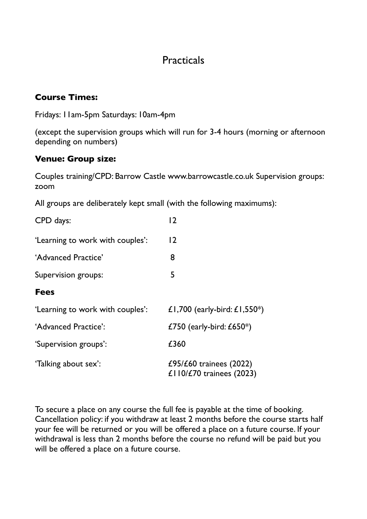## **Practicals**

#### **Course Times:**

Fridays: 11am-5pm Saturdays: 10am-4pm

(except the supervision groups which will run for 3-4 hours (morning or afternoon depending on numbers)

#### **Venue: Group size:**

Couples training/CPD: Barrow Castle www.barrowcastle.co.uk Supervision groups: zoom

All groups are deliberately kept small (with the following maximums):

| CPD days:                        | 12                                                        |
|----------------------------------|-----------------------------------------------------------|
| 'Learning to work with couples': | 12                                                        |
| 'Advanced Practice'              | 8                                                         |
| Supervision groups:              | 5                                                         |
| <b>Fees</b>                      |                                                           |
| 'Learning to work with couples': | £1,700 (early-bird: £1,550*)                              |
| 'Advanced Practice':             | £750 (early-bird: $£650*)$                                |
| 'Supervision groups':            | £360                                                      |
| 'Talking about sex':             | £95/ $E$ 60 trainees (2022)<br>£110/£70 trainees $(2023)$ |

To secure a place on any course the full fee is payable at the time of booking. Cancellation policy: if you withdraw at least 2 months before the course starts half your fee will be returned or you will be offered a place on a future course. If your withdrawal is less than 2 months before the course no refund will be paid but you will be offered a place on a future course.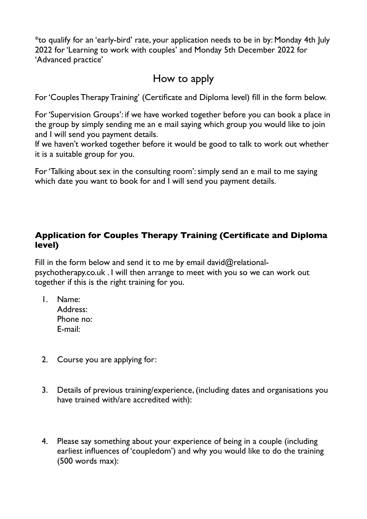\*to qualify for an 'early-bird' rate, your application needs to be in by: Monday 4th July 2022 for 'Learning to work with couples' and Monday 5th December 2022 for 'Advanced practice'

# How to apply

For 'Couples Therapy Training' (Certificate and Diploma level) fill in the form below.

For 'Supervision Groups': if we have worked together before you can book a place in the group by simply sending me an e mail saying which group you would like to join and I will send you payment details.

If we haven't worked together before it would be good to talk to work out whether it is a suitable group for you.

For 'Talking about sex in the consulting room': simply send an e mail to me saying which date you want to book for and I will send you payment details.

## **Application for Couples Therapy Training (Certificate and Diploma level)**

Fill in the form below and send it to me by email david $@$ relationalpsychotherapy.co.uk . I will then arrange to meet with you so we can work out together if this is the right training for you.

- 1. Name: Address: Phone no: E-mail:
- 2. Course you are applying for:
- 3. Details of previous training/experience, (including dates and organisations you have trained with/are accredited with):
- 4. Please say something about your experience of being in a couple (including earliest influences of 'coupledom') and why you would like to do the training (500 words max):